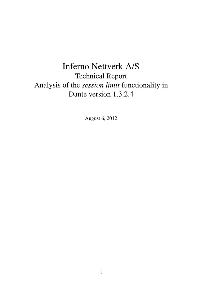# Inferno Nettverk A/S Technical Report Analysis of the *session limit* functionality in Dante version 1.3.2.4

August 6, 2012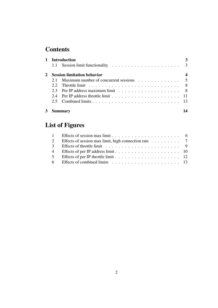## **Contents**

| <b>Introduction</b>                |                                                 |  |
|------------------------------------|-------------------------------------------------|--|
|                                    |                                                 |  |
| <b>Session limitation behavior</b> |                                                 |  |
|                                    | 2.1 Maximum number of concurrent sessions 5     |  |
|                                    |                                                 |  |
|                                    |                                                 |  |
|                                    | 2.4 Per IP address throttle limit $\ldots$ , 11 |  |
|                                    |                                                 |  |
| Summarv                            |                                                 |  |

## List of Figures

| 2 Effects of session max limit, high connection rate 7 |  |
|--------------------------------------------------------|--|
|                                                        |  |
|                                                        |  |
|                                                        |  |
|                                                        |  |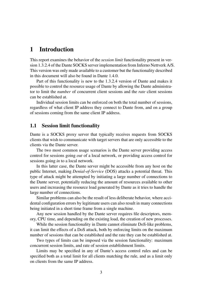### 1 Introduction

This report examines the behavior of the *session limit* functionality present in version 1.3.2.4 of the Dante SOCKS server implementation from Inferno Nettverk A/S. This version was only made available to a customer but the functionality described in this document will also be found in Dante 1.4.0.

Part of this functionality is new to the 1.3.2.4 version of Dante and makes it possible to control the resource usage of Dante by allowing the Dante administrator to limit the *number* of concurrent client sessions and the *rate* client sessions can be established at.

Individual session limits can be enforced on both the total number of sessions, regardless of what client IP address they connect to Dante from, and on a group of sessions coming from the same client IP address.

#### 1.1 Session limit functionality

Dante is a SOCKS proxy server that typically receives requests from SOCKS clients that wish to communicate with target servers that are only accessible to the clients via the Dante server.

The two most common usage scenarios is the Dante server providing access control for sessions going *out* of a local network, or providing access control for sessions going *in* to a local network.

In this latter case, the Dante server might be accessible from any host on the public Internet, making *Denial-of-Service* (DOS) attacks a potential threat. This type of attack might be attempted by initiating a large number of connections to the Dante server, potentially reducing the amount of resources available to other users and increasing the resource load generated by Dante as it tries to handle the large number of connections.

Similar problems can also be the result of less deliberate behavior, where accidental configuration errors by legitimate users can also result in many connections being initiated in a short time frame from a single machine.

Any new session handled by the Dante server requires file descriptors, memory, CPU time, and depending on the existing load, the creation of new processes.

While the session functionality in Dante cannot eliminate DoS-like problems, it can limit the effects of a DoS attack, both by enforcing limits on the maximum number of sessions that can be established and the rate they can be established at.

Two types of limits can be imposed via the session functionality: maximum concurrent session limits, and rate of session establishment limits.

Limits may be specified in any of Dante's access control rules and can be specified both as a total limit for all clients matching the rule, and as a limit only on clients from the same IP address.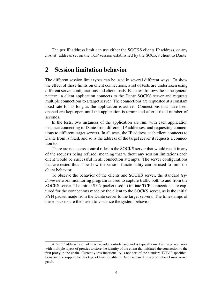The per IP address limit can use either the SOCKS clients IP address, or any *hostid*<sup>1</sup> address set on the TCP session established by the SOCKS client to Dante.

### 2 Session limitation behavior

The different session limit types can be used in several different ways. To show the effect of these limits on client connections, a set of tests are undertaken using different server configurations and client loads. Each test follows the same general pattern: a client application connects to the Dante SOCKS server and requests multiple connections to a target server. The connections are requested at a constant fixed rate for as long as the application is active. Connections that have been opened are kept open until the application is terminated after a fixed number of seconds.

In the tests, two instances of the application are run, with each application instance connecting to Dante from different IP addresses, and requesting connections to different target servers. In all tests, the IP address each client connects to Dante from is fixed, and so is the address of the target server it requests a connection to.

There are no access control rules in the SOCKS server that would result in any of the requests being refused, meaning that without any session limitations each client would be successful in all connection attempts. The server configurations that are tested thus show how the session functionality can be used to limit the client behavior.

To observe the behavior of the clients and SOCKS server, the standard *tcpdump* network monitoring program is used to capture traffic both to and from the SOCKS server. The initial SYN packet used to initiate TCP connections are captured for the connections made by the client to the SOCKS server, as is the initial SYN packet made from the Dante server to the target servers. The timestamps of these packets are then used to visualize the system behavior.

<sup>&</sup>lt;sup>1</sup>A *hostid* address is an address provided out-of-band and is typically used in usage scenarios with multiple layers of proxies to store the identity of the client that initiated the connection to the first proxy in the chain. Currently this functionality is not part of the standard TCP/IP specifications and the support for this type of functionality in Dante is based on a proprietary Linux kernel patch.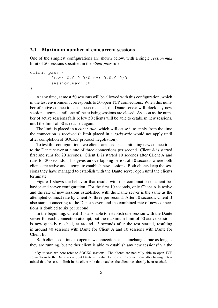#### 2.1 Maximum number of concurrent sessions

One of the simplest configurations are shown below, with a single *session.max* limit of 50 sessions specified in the *client-pass* rule:

```
client pass {
        from: 0.0.0.0/0 to: 0.0.0.0/0
        session.max: 50
}
```
At any time, at most 50 sessions will be allowed with this configuration, which in the test environment corresponds to 50 open TCP connections. When this number of active connections has been reached, the Dante server will block any new session attempts until one of the existing sessions are closed. As soon as the number of active sessions falls below 50 clients will be able to establish new sessions, until the limit of 50 is reached again.

The limit is placed in a *client-rule*, which will cause it to apply from the time the connection is received (a limit placed in a *socks-rule* would not apply until after completion of SOCKS protocol negotiation).

To test this configuration, two clients are used, each initiating new connections to the Dante server at a rate of three connections per second. Client A is started first and runs for 20 seconds. Client B is started 10 seconds after Client A and runs for 30 seconds. This gives an overlapping period of 10 seconds where both clients are active and attempt to establish new sessions. Both clients keep the sessions they have managed to establish with the Dante server open until the clients terminate.

Figure 1 shows the behavior that results with this combination of client behavior and server configuration. For the first 10 seconds, only Client A is active and the rate of new sessions established with the Dante server is the same as the attempted connect rate by Client A, three per second. After 10 seconds, Client B also starts connecting to the Dante server, and the combined rate of new connections is doubled to six per second.

In the beginning, Client B is also able to establish one session with the Dante server for each connection attempt, but the maximum limit of 50 active sessions is now quickly reached, at around 13 seconds after the test started, resulting in around 40 sessions with Dante for Client A and 10 sessions with Dante for Client B.

Both clients continue to open new connections at an unchanged rate as long as they are running, but neither client is able to establish any new sessions<sup>2</sup> via the

<sup>&</sup>lt;sup>2</sup>By *session* we here refer to SOCKS sessions. The clients are naturally able to open TCP connections to the Dante server, but Dante immediately closes the connections after having determined that the session limit in the client-rule that matches the client has already been reached.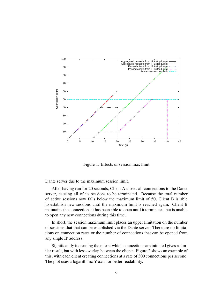

Figure 1: Effects of session max limit

Dante server due to the maximum session limit.

After having run for 20 seconds, Client A closes all connections to the Dante server, causing all of its sessions to be terminated. Because the total number of active sessions now falls below the maximum limit of 50, Client B is able to establish new sessions until the maximum limit is reached again. Client B maintains the connections it has been able to open until it terminates, but is unable to open any new connections during this time.

In short, the session maximum limit places an upper limitation on the number of sessions that that can be established via the Dante server. There are no limitations on connection rates or the number of connections that can be opened from any single IP address.

Significantly increasing the rate at which connections are initiated gives a similar result, but with less overlap between the clients. Figure 2 shows an example of this, with each client creating connections at a rate of 300 connections per second. The plot uses a logarithmic Y-axis for better readability.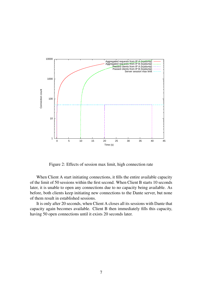

Figure 2: Effects of session max limit, high connection rate

When Client A start initiating connections, it fills the entire available capacity of the limit of 50 sessions within the first second. When Client B starts 10 seconds later, it is unable to open any connections due to no capacity being available. As before, both clients keep initiating new connections to the Dante server, but none of them result in established sessions.

It is only after 20 seconds, when Client A closes all its sessions with Dante that capacity again becomes available. Client B then immediately fills this capacity, having 50 open connections until it exists 20 seconds later.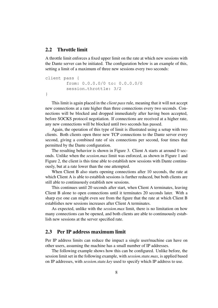#### 2.2 Throttle limit

A throttle limit enforces a fixed upper limit on the rate at which new sessions with the Dante server can be initiated. The configuration below is an example of this, setting a limit of a maximum of three new sessions every two seconds:

```
client pass {
        from: 0.0.0.0/0 to: 0.0.0.0/0
        session.throttle: 3/2
}
```
This limit is again placed in the *client pass* rule, meaning that it will not accept new connections at a rate higher than three connections every two seconds. Connections will be blocked and dropped immediately after having been accepted, before SOCKS protocol negotiation. If connections are received at a higher rate, any new connections will be blocked until two seconds has passed.

Again, the operation of this type of limit is illustrated using a setup with two clients. Both clients open three new TCP connections to the Dante server every second, giving a combined rate of six connections per second, four times that permitted by the Dante configuration.

The resulting behavior is shown in Figure 3. Client A starts at around 0 seconds. Unlike when the *session.max* limit was enforced, as shown in Figure 1 and Figure 2, the client is this time able to establish new sessions with Dante continuously, but at a rate lower than the one attempted.

When Client B also starts opening connections after 10 seconds, the rate at which Client A is able to establish sessions is further reduced, but both clients are still able to continuously establish new sessions.

This continues until 20 seconds after start, when Client A terminates, leaving Client B alone to open connections until it terminates 20 seconds later. With a sharp eye one can might even see from the figure that the rate at which Client B establishes new sessions increases after Client A terminates.

As expected, unlike with the *session.max* limit, there is no limitation on how many connections can be opened, and both clients are able to continuously establish new sessions at the server specified rate.

#### 2.3 Per IP address maximum limit

Per IP address limits can reduce the impact a single user/machine can have on other users, assuming the machine has a small number of IP addresses.

The following example shows how this can be configured. Unlike before, the session limit set in the following example, with *session.state.max*, is applied based on IP addresses, with *session.state.key* used to specify which IP address to use.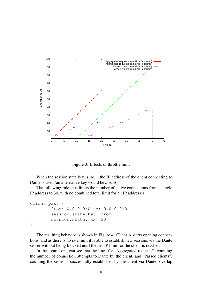

Figure 3: Effects of throttle limit

When the session state key is *from*, the IP address of the client connecting to Dante is used (an alternative key would be *hostid*).

The following rule thus limits the number of active connections from a single IP address to 30, with no combined total limit for all IP addresses.

```
client pass {
        from: 0.0.0.0/0 to: 0.0.0.0/0
        session.state.key: from
        session.state.max: 30
}
```
The resulting behavior is shown in Figure 4. Client A starts opening connections, and as there is no rate limit it is able to establish new sessions via the Dante server without being blocked until the per IP limit for the client is reached.

In the figure, one can see that the lines for "Aggregated requests", counting the number of connection attempts to Dante by the client, and "Passed clients", counting the sessions successfully established by the client via Dante, overlap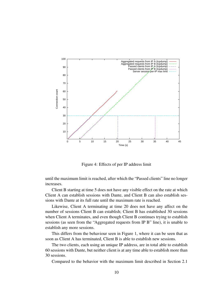

Figure 4: Effects of per IP address limit

until the maximum limit is reached, after which the "Passed clients" line no longer increases.

Client B starting at time 5 does not have any visible effect on the rate at which Client A can establish sessions with Dante, and Client B can also establish sessions with Dante at its full rate until the maximum rate is reached.

Likewise, Client A terminating at time 20 does not have any affect on the number of sessions Client B can establish; Client B has established 30 sessions when Client A terminates, and even though Client B continues trying to establish sessions (as seen from the "Aggregated requests from IP B" line), it is unable to establish any more sessions.

This differs from the behaviour seen in Figure 1, where it can be seen that as soon as Client A has terminated, Client B is able to establish new sessions.

The two clients, each using an unique IP address, are in total able to establish 60 sessions with Dante, but neither client is at any time able to establish more than 30 sessions.

Compared to the behavior with the maximum limit described in Section 2.1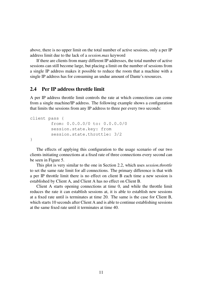above, there is no upper limit on the total number of active sessions, only a per IP address limit due to the lack of a *session.max* keyword

If there are clients from many different IP addresses, the total number of active sessions can still become large, but placing a limit on the number of sessions from a single IP address makes it possible to reduce the room that a machine with a single IP address has for consuming an undue amount of Dante's resources.

#### 2.4 Per IP address throttle limit

A per IP address throttle limit controls the rate at which connections can come from a single machine/IP address. The following example shows a configuration that limits the sessions from any IP address to three per every two seconds:

```
client pass {
        from: 0.0.0.0/0 to: 0.0.0.0/0
        session.state.key: from
        session.state.throttle: 3/2
}
```
The effects of applying this configuration to the usage scenario of our two clients initiating connections at a fixed rate of three connections every second can be seen in Figure 5.

This plot is very similar to the one in Section 2.2, which uses *session.throttle* to set the same rate limit for all connections. The primary difference is that with a per IP throttle limit there is no effect on client B each time a new session is established by Client A, and Client A has no effect on Client B.

Client A starts opening connections at time 0, and while the throttle limit reduces the rate it can establish sessions at, it is able to establish new sessions at a fixed rate until is terminates at time 20. The same is the case for Client B, which starts 10 seconds after Client A and is able to continue establishing sessions at the same fixed rate until it terminates at time 40.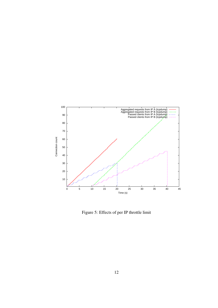

Figure 5: Effects of per IP throttle limit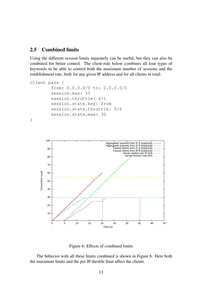#### 2.5 Combined limits

Using the different session limits separately can be useful, but they can also be combined for better control. The client-rule below combines all four types of keywords to be able to control both the maximum number of sessions and the establishment rate, both for any given IP address and for all clients in total:

```
client pass {
              from: 0.0.0.0/0 to: 0.0.0.0/0
              session.max: 55
              session.throttle: 4/1
              session.state.key: from
              session.state.throttle: 5/2
              session.state.max: 30
}
            100
                                                     Aggregated requests from IP A (tcpdump)
Aggregated requests from IP B (tcpdump)
Passed clients from IP A (tcpdump)
             90
                                                          Passed clients from IP B (tcpdump)
Server session per IP limit
                                                                  Server session max limit
             80
             70
       Connection count
       Connection count
             60
             50
             40
             30
             20
             10
               0 5 10 15 20 25 30 35 40 45
                                                   Time (s)
```
Figure 6: Effects of combined limits

The behavior with all these limits combined is shown in Figure 6. Here both the maximum limits and the per IP throttle limit affect the clients.